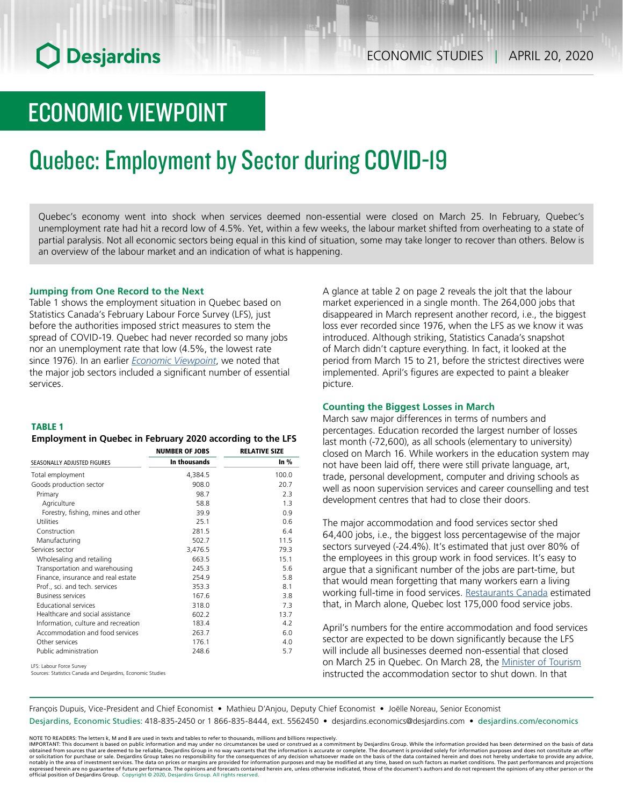## ECONOMIC VIEWPOINT

# Quebec: Employment by Sector during COVID-19

Quebec's economy went into shock when services deemed non-essential were closed on March 25. In February, Quebec's unemployment rate had hit a record low of 4.5%. Yet, within a few weeks, the labour market shifted from overheating to a state of partial paralysis. Not all economic sectors being equal in this kind of situation, some may take longer to recover than others. Below is an overview of the labour market and an indication of what is happening.

### **Jumping from One Record to the Next**

Table 1 shows the employment situation in Quebec based on Statistics Canada's February Labour Force Survey (LFS), just before the authorities imposed strict measures to stem the spread of COVID-19. Quebec had never recorded so many jobs nor an unemployment rate that low (4.5%, the lowest rate since 1976). In an earlier *[Economic Viewpoint](https://www.desjardins.com/ressources/pdf/pv040720e.pdf?resVer=1586264838000)*, we noted that the major job sectors included a significant number of essential services.

#### TABLE 1

### *Employment in Quebec in February 2020 according to the LFS*

|                                     | <b>NUMBER OF JOBS</b> | <b>RELATIVE SIZE</b><br>In $%$ |  |
|-------------------------------------|-----------------------|--------------------------------|--|
| SEASONALLY ADJUSTED FIGURES         | In thousands          |                                |  |
| Total employment                    | 4,384.5               | 100.0                          |  |
| Goods production sector             | 908.0                 | 20.7                           |  |
| Primary                             | 98.7                  | 2.3                            |  |
| Agriculture                         | 58.8                  | 1.3                            |  |
| Forestry, fishing, mines and other  | 39.9                  | 0.9                            |  |
| Utilities                           | 25.1                  | 0.6                            |  |
| Construction                        | 281.5                 | 6.4                            |  |
| Manufacturing                       | 502.7                 | 11.5                           |  |
| Services sector                     | 3,476.5               | 79.3                           |  |
| Wholesaling and retailing           | 663.5                 | 15.1                           |  |
| Transportation and warehousing      | 245.3                 | 5.6                            |  |
| Finance, insurance and real estate  | 254.9                 | 5.8                            |  |
| Prof., sci. and tech. services      | 353.3                 | 8.1                            |  |
| <b>Business services</b>            | 167.6                 | 3.8                            |  |
| <b>Educational services</b>         | 318.0                 | 7.3                            |  |
| Healthcare and social assistance    | 602.2                 | 13.7                           |  |
| Information, culture and recreation | 183.4                 | 4.2                            |  |
| Accommodation and food services     | 263.7                 | 6.0                            |  |
| Other services                      | 176.1                 | 4.0                            |  |
| Public administration               | 248.6                 | 5.7                            |  |
| LFS: Labour Force Survey            |                       |                                |  |

Sources: Statistics Canada and Desjardins, Economic Studies

A glance at table 2 on page 2 reveals the jolt that the labour market experienced in a single month. The 264,000 jobs that disappeared in March represent another record, i.e., the biggest loss ever recorded since 1976, when the LFS as we know it was introduced. Although striking, Statistics Canada's snapshot of March didn't capture everything. In fact, it looked at the period from March 15 to 21, before the strictest directives were implemented. April's figures are expected to paint a bleaker picture.

#### **Counting the Biggest Losses in March**

March saw major differences in terms of numbers and percentages. Education recorded the largest number of losses last month (-72,600), as all schools (elementary to university) closed on March 16. While workers in the education system may not have been laid off, there were still private language, art, trade, personal development, computer and driving schools as well as noon supervision services and career counselling and test development centres that had to close their doors.

The major accommodation and food services sector shed 64,400 jobs, i.e., the biggest loss percentagewise of the major sectors surveyed (-24.4%). It's estimated that just over 80% of the employees in this group work in food services. It's easy to argue that a significant number of the jobs are part-time, but that would mean forgetting that many workers earn a living working full-time in food services. [Restaurants Canada](http://tourismexpress.com/nouvelles/rapport-de-restaurants-canada-175-000-emplois-au-quebec) estimated that, in March alone, Quebec lost 175,000 food service jobs.

April's numbers for the entire accommodation and food services sector are expected to be down significantly because the LFS will include all businesses deemed non-essential that closed on March 25 in Quebec. On March 28, the [Minister](http://www.fil-information.gouv.qc.ca/Pages/Article.aspx?aiguillage=diffuseurs&listeDiff=44&type=1&idArticle=2803280809) of Tourism instructed the accommodation sector to shut down. In that

François Dupuis, Vice-President and Chief Economist • Mathieu D'Anjou, Deputy Chief Economist • Joëlle Noreau, Senior Economist

Desjardins, Economic Studies: 418-835-2450 or 1 866-835-8444, ext. 5562450 • desjardins.economics@desjardins.com • desjardins.com/economics

NOTE TO READERS: The letters k, M and B are used in texts and tables to refer to thousands, millions and billions respectively.<br>IMPORTANT: This document is based on public information and may under no circumstances be used obtained from sources that are deemed to be reliable, Desjardins Group in no way warrants that the information is accurate or complete. The document is provided solely for information purposes and does not constitute an of expressed herein are no guarantee of future performance. The opinions and forecasts contained herein are, unless otherwise indicated, those of the document's authors and do not represent the opinions of any other person or official position of Desjardins Group. Copyright © 2020, Desjardins Group. All rights reserved.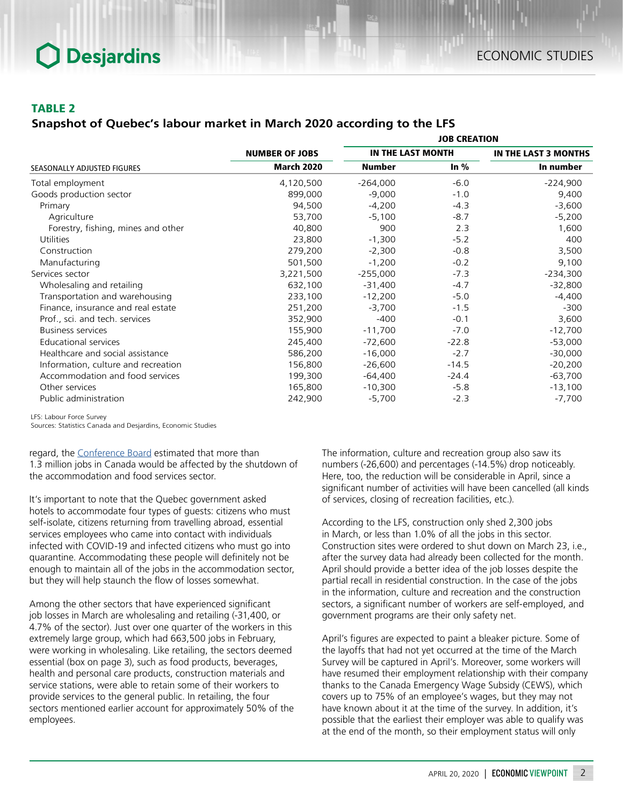## TABLE 2

## *Snapshot of Quebec's labour market in March 2020 according to the LFS*

|                                     | <b>NUMBER OF JOBS</b> | <b>JOB CREATION</b> |         |                      |
|-------------------------------------|-----------------------|---------------------|---------|----------------------|
|                                     |                       | IN THE LAST MONTH   |         | IN THE LAST 3 MONTHS |
| SEASONALLY ADJUSTED FIGURES         | <b>March 2020</b>     | <b>Number</b>       | In $%$  | In number            |
| Total employment                    | 4,120,500             | $-264,000$          | $-6.0$  | $-224,900$           |
| Goods production sector             | 899,000               | $-9,000$            | $-1.0$  | 9,400                |
| Primary                             | 94,500                | $-4,200$            | $-4.3$  | $-3,600$             |
| Agriculture                         | 53,700                | $-5,100$            | $-8.7$  | $-5,200$             |
| Forestry, fishing, mines and other  | 40,800                | 900                 | 2.3     | 1,600                |
| <b>Utilities</b>                    | 23,800                | $-1,300$            | $-5.2$  | 400                  |
| Construction                        | 279,200               | $-2,300$            | $-0.8$  | 3,500                |
| Manufacturing                       | 501,500               | $-1,200$            | $-0.2$  | 9,100                |
| Services sector                     | 3,221,500             | $-255,000$          | $-7.3$  | $-234,300$           |
| Wholesaling and retailing           | 632,100               | $-31,400$           | $-4.7$  | $-32,800$            |
| Transportation and warehousing      | 233,100               | $-12,200$           | $-5.0$  | $-4,400$             |
| Finance, insurance and real estate  | 251,200               | $-3,700$            | $-1.5$  | $-300$               |
| Prof., sci. and tech. services      | 352,900               | $-400$              | $-0.1$  | 3,600                |
| <b>Business services</b>            | 155,900               | $-11,700$           | $-7.0$  | $-12,700$            |
| Educational services                | 245,400               | $-72,600$           | $-22.8$ | $-53,000$            |
| Healthcare and social assistance    | 586,200               | $-16,000$           | $-2.7$  | $-30,000$            |
| Information, culture and recreation | 156,800               | $-26,600$           | $-14.5$ | $-20,200$            |
| Accommodation and food services     | 199,300               | $-64,400$           | $-24.4$ | $-63,700$            |
| Other services                      | 165,800               | $-10,300$           | $-5.8$  | $-13,100$            |
| Public administration               | 242,900               | $-5,700$            | $-2.3$  | $-7,700$             |

LFS: Labour Force Survey

Sources: Statistics Canada and Desjardins, Economic Studies

regard, the [Conference Board](https://www.conferenceboard.ca/insights/blogs/five-canadian-cities-most-at-risk-due-to-covid-19-s-impact-on-the-accommodation-and-food-services-sector/?utm_source=INNOV&utm_medium=EMAIL&utm_campaign=RATB20APR3&mkt_tok=eyJpIjoiT1dFelpXUXlNV1E0WkRCaSIsInQiOiI5aVlyMVJjeFlMc2VRcUVxelY2SWoxOEIreHpXNFZmRFg4MEE5V1pTZFJiZDZrWFB6YUwwMEYwd1NONTBcL2NFbXJ0V0IybW9jMmlqZnlNUE5mOWd6dGo5Rnc3VDJUQ0xxdklvcld0QkU1YU1MSUtmK0RJeGhYRXZYSnZaY21xbFwvIn0%3D) estimated that more than 1.3 million jobs in Canada would be affected by the shutdown of the accommodation and food services sector.

It's important to note that the Quebec government asked hotels to accommodate four types of guests: citizens who must self-isolate, citizens returning from travelling abroad, essential services employees who came into contact with individuals infected with COVID-19 and infected citizens who must go into quarantine. Accommodating these people will definitely not be enough to maintain all of the jobs in the accommodation sector, but they will help staunch the flow of losses somewhat.

Among the other sectors that have experienced significant job losses in March are wholesaling and retailing (-31,400, or 4.7% of the sector). Just over one quarter of the workers in this extremely large group, which had 663,500 jobs in February, were working in wholesaling. Like retailing, the sectors deemed essential (box on page 3), such as food products, beverages, health and personal care products, construction materials and service stations, were able to retain some of their workers to provide services to the general public. In retailing, the four sectors mentioned earlier account for approximately 50% of the employees.

The information, culture and recreation group also saw its numbers (-26,600) and percentages (-14.5%) drop noticeably. Here, too, the reduction will be considerable in April, since a significant number of activities will have been cancelled (all kinds of services, closing of recreation facilities, etc.).

According to the LFS, construction only shed 2,300 jobs in March, or less than 1.0% of all the jobs in this sector. Construction sites were ordered to shut down on March 23, i.e., after the survey data had already been collected for the month. April should provide a better idea of the job losses despite the partial recall in residential construction. In the case of the jobs in the information, culture and recreation and the construction sectors, a significant number of workers are self-employed, and government programs are their only safety net.

April's figures are expected to paint a bleaker picture. Some of the layoffs that had not yet occurred at the time of the March Survey will be captured in April's. Moreover, some workers will have resumed their employment relationship with their company thanks to the Canada Emergency Wage Subsidy (CEWS), which covers up to 75% of an employee's wages, but they may not have known about it at the time of the survey. In addition, it's possible that the earliest their employer was able to qualify was at the end of the month, so their employment status will only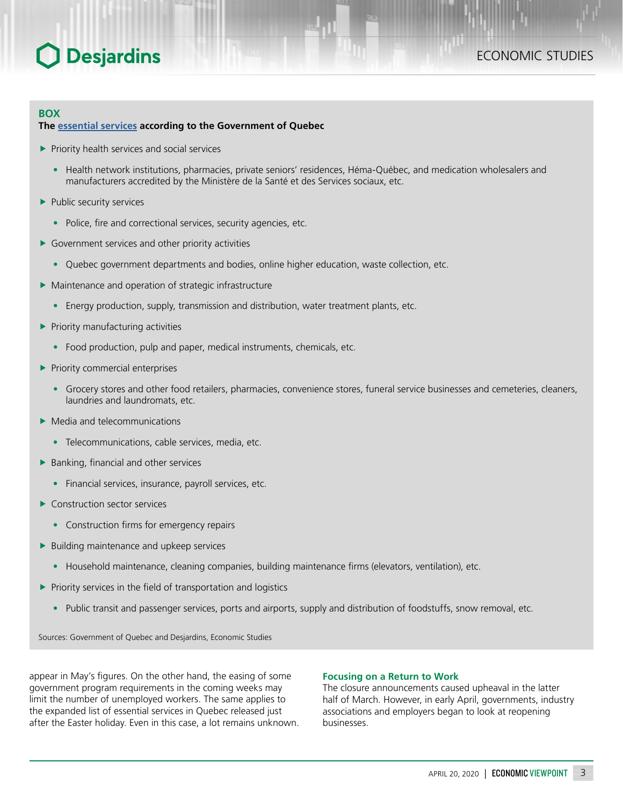## **BOX**

### **The [essential services](https://www.quebec.ca/en/health/health-issues/a-z/2019-coronavirus/essential-services-commercial-activities-covid19/) according to the Government of Quebec**

- $\blacktriangleright$  Priority health services and social services
	- Health network institutions, pharmacies, private seniors' residences, Héma-Québec, and medication wholesalers and manufacturers accredited by the Ministère de la Santé et des Services sociaux, etc.
- $\blacktriangleright$  Public security services
	- Police, fire and correctional services, security agencies, etc.
- $\blacktriangleright$  Government services and other priority activities
	- Quebec government departments and bodies, online higher education, waste collection, etc.
- $\blacktriangleright$  Maintenance and operation of strategic infrastructure
	- Energy production, supply, transmission and distribution, water treatment plants, etc.
- $\blacktriangleright$  Priority manufacturing activities
	- Food production, pulp and paper, medical instruments, chemicals, etc.
- $\blacktriangleright$  Priority commercial enterprises
	- Grocery stores and other food retailers, pharmacies, convenience stores, funeral service businesses and cemeteries, cleaners, laundries and laundromats, etc.
- $\blacktriangleright$  Media and telecommunications
	- Telecommunications, cable services, media, etc.
- $\blacktriangleright$  Banking, financial and other services
	- Financial services, insurance, payroll services, etc.
- $\blacktriangleright$  Construction sector services
	- Construction firms for emergency repairs
- $\blacktriangleright$  Building maintenance and upkeep services
	- Household maintenance, cleaning companies, building maintenance firms (elevators, ventilation), etc.
- $\blacktriangleright$  Priority services in the field of transportation and logistics
	- Public transit and passenger services, ports and airports, supply and distribution of foodstuffs, snow removal, etc.

Sources: Government of Quebec and Desjardins, Economic Studies

appear in May's figures. On the other hand, the easing of some government program requirements in the coming weeks may limit the number of unemployed workers. The same applies to the expanded list of essential services in Quebec released just after the Easter holiday. Even in this case, a lot remains unknown.

### **Focusing on a Return to Work**

The closure announcements caused upheaval in the latter half of March. However, in early April, governments, industry associations and employers began to look at reopening businesses.